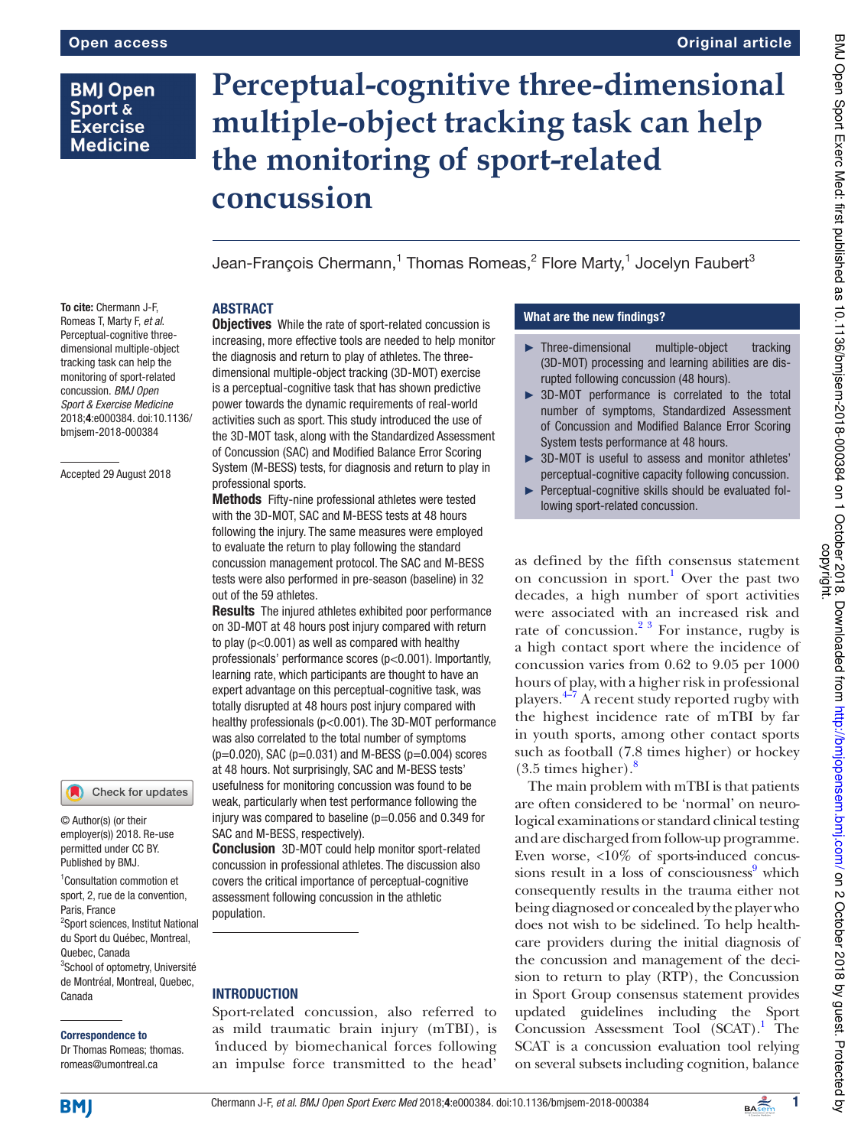# **BMJ Open** Sport & **Exercise Medicine**

# **Perceptual-cognitive three-dimensional multiple-object tracking task can help the monitoring of sport-related concussion**

Jean-François Chermann, $^{\rm 1}$  Thomas Romeas, $^{\rm 2}$  Flore Marty, $^{\rm 1}$  Jocelyn Faubert $^{\rm 3}$ 

# **ABSTRACT**

To cite: Chermann J-F, Romeas T, Marty F, et al. Perceptual-cognitive threedimensional multiple-object tracking task can help the monitoring of sport-related concussion. BMJ Open Sport & Exercise Medicine 2018;4:e000384. doi:10.1136/ bmjsem-2018-000384

Accepted 29 August 2018

## Check for updates

© Author(s) (or their employer(s)) 2018. Re-use permitted under CC BY. Published by BMJ.

1 Consultation commotion et sport, 2, rue de la convention, Paris, France 2 Sport sciences, Institut National du Sport du Québec, Montreal, Quebec, Canada 3 School of optometry, Université de Montréal, Montreal, Quebec, Canada

#### Correspondence to

Dr Thomas Romeas; thomas. romeas@ umontreal. ca

**Objectives** While the rate of sport-related concussion is increasing, more effective tools are needed to help monitor the diagnosis and return to play of athletes. The threedimensional multiple-object tracking (3D-MOT) exercise is a perceptual-cognitive task that has shown predictive power towards the dynamic requirements of real-world activities such as sport. This study introduced the use of the 3D-MOT task, along with the Standardized Assessment of Concussion (SAC) and Modified Balance Error Scoring System (M-BESS) tests, for diagnosis and return to play in professional sports.

Methods Fifty-nine professional athletes were tested with the 3D-MOT, SAC and M-BESS tests at 48 hours following the injury. The same measures were employed to evaluate the return to play following the standard concussion management protocol. The SAC and M-BESS tests were also performed in pre-season (baseline) in 32 out of the 59 athletes.

**Results** The injured athletes exhibited poor performance on 3D-MOT at 48 hours post injury compared with return to play (p<0.001) as well as compared with healthy professionals' performance scores (p<0.001). Importantly, learning rate, which participants are thought to have an expert advantage on this perceptual-cognitive task, was totally disrupted at 48 hours post injury compared with healthy professionals (p<0.001). The 3D-MOT performance was also correlated to the total number of symptoms  $(p=0.020)$ , SAC  $(p=0.031)$  and M-BESS  $(p=0.004)$  scores at 48 hours. Not surprisingly, SAC and M-BESS tests' usefulness for monitoring concussion was found to be weak, particularly when test performance following the injury was compared to baseline  $(p=0.056$  and 0.349 for SAC and M-BESS, respectively).

Conclusion 3D-MOT could help monitor sport-related concussion in professional athletes. The discussion also covers the critical importance of perceptual-cognitive assessment following concussion in the athletic population.

# **INTRODUCTION**

Sport-related concussion, also referred to as mild traumatic brain injury (mTBI), is *'*induced by biomechanical forces following an impulse force transmitted to the head'

## What are the new findings?

- ► Three-dimensional multiple-object tracking (3D-MOT) processing and learning abilities are disrupted following concussion (48 hours).
- ► 3D-MOT performance is correlated to the total number of symptoms, Standardized Assessment of Concussion and Modified Balance Error Scoring System tests performance at 48 hours.
- ► 3D-MOT is useful to assess and monitor athletes' perceptual-cognitive capacity following concussion.
- ► Perceptual-cognitive skills should be evaluated following sport-related concussion.

as defined by the fifth consensus statement on concussion in sport.<sup>1</sup> Over the past two decades, a high number of sport activities were associated with an increased risk and rate of concussion.<sup>2 3</sup> For instance, rugby is a high contact sport where the incidence of concussion varies from 0.62 to 9.05 per 1000 hours of play, with a higher risk in professional players. $4\frac{4}{7}$  A recent study reported rugby with the highest incidence rate of mTBI by far in youth sports, among other contact sports such as football (7.8 times higher) or hockey  $(3.5 \times \text{times higher})$ .

The main problem with mTBI is that patients are often considered to be 'normal' on neurological examinations or standard clinical testing and are discharged from follow-up programme. Even worse, <10% of sports-induced concussions result in a loss of consciousness<sup>9</sup> which consequently results in the trauma either not being diagnosed or concealed by the player who does not wish to be sidelined. To help healthcare providers during the initial diagnosis of the concussion and management of the decision to return to play (RTP), the Concussion in Sport Group consensus statement provides updated guidelines including the Sport Concussion Assessment Tool (SCAT).<sup>1</sup> The SCAT is a concussion evaluation tool relying on several subsets including cognition, balance

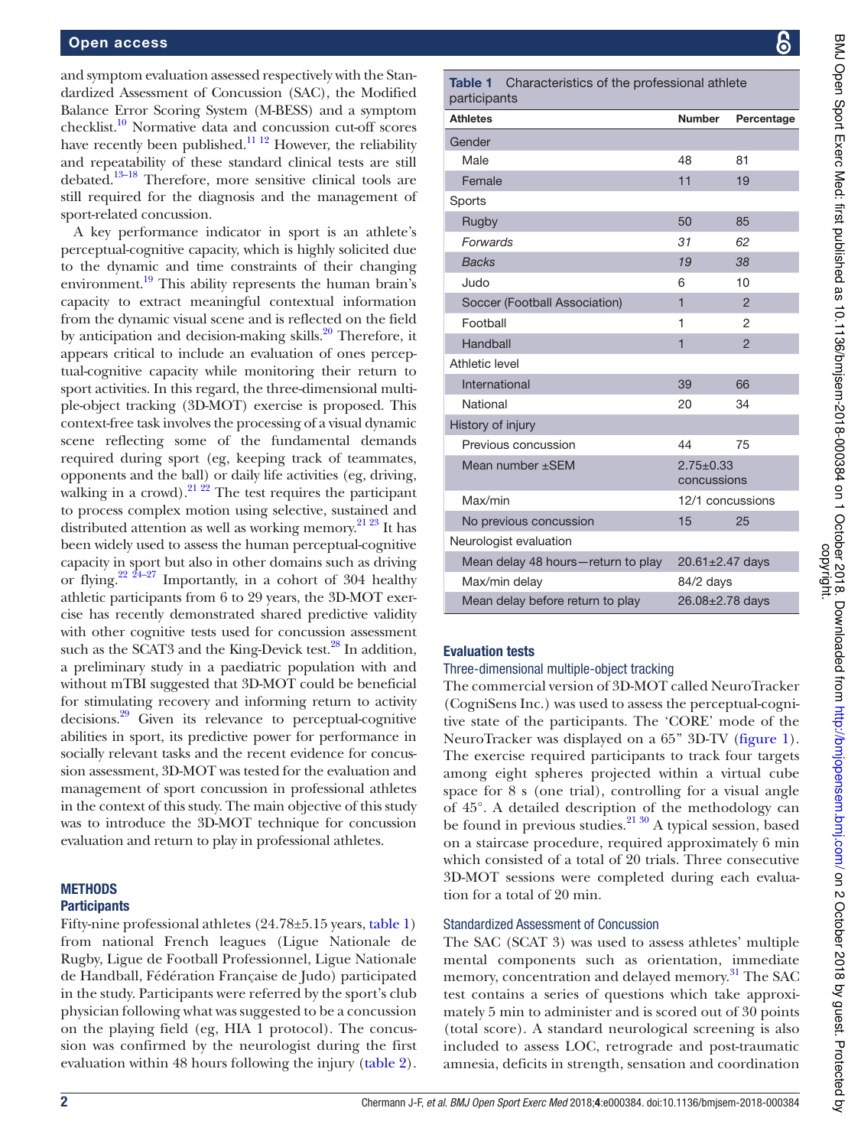and symptom evaluation assessed respectively with the Standardized Assessment of Concussion (SAC), the Modified Balance Error Scoring System (M-BESS) and a symptom checklist.<sup>10</sup> Normative data and concussion cut-off scores have recently been published.<sup>11 12</sup> However, the reliability and repeatability of these standard clinical tests are still debated.13–18 Therefore, more sensitive clinical tools are still required for the diagnosis and the management of sport-related concussion.

A key performance indicator in sport is an athlete's perceptual-cognitive capacity, which is highly solicited due to the dynamic and time constraints of their changing environment.<sup>19</sup> This ability represents the human brain's capacity to extract meaningful contextual information from the dynamic visual scene and is reflected on the field by anticipation and decision-making skills.<sup>20</sup> Therefore, it appears critical to include an evaluation of ones perceptual-cognitive capacity while monitoring their return to sport activities. In this regard, the three-dimensional multiple-object tracking (3D-MOT) exercise is proposed. This context-free task involves the processing of a visual dynamic scene reflecting some of the fundamental demands required during sport (eg, keeping track of teammates, opponents and the ball) or daily life activities (eg, driving, walking in a crowd).<sup>21 22</sup> The test requires the participant to process complex motion using selective, sustained and distributed attention as well as working memory.<sup>21 23</sup> It has been widely used to assess the human perceptual-cognitive capacity in sport but also in other domains such as driving or flying.<sup>22  $24-27$ </sup> Importantly, in a cohort of 304 healthy athletic participants from 6 to 29 years, the 3D-MOT exercise has recently demonstrated shared predictive validity with other cognitive tests used for concussion assessment such as the SCAT3 and the King-Devick test.<sup>28</sup> In addition, a preliminary study in a paediatric population with and without mTBI suggested that 3D-MOT could be beneficial for stimulating recovery and informing return to activity decisions.<sup>29</sup> Given its relevance to perceptual-cognitive abilities in sport, its predictive power for performance in socially relevant tasks and the recent evidence for concussion assessment, 3D-MOT was tested for the evaluation and management of sport concussion in professional athletes in the context of this study. The main objective of this study was to introduce the 3D-MOT technique for concussion evaluation and return to play in professional athletes.

### **METHODS**

#### **Participants**

Fifty-nine professional athletes (24.78±5.15 years, table 1) from national French leagues (Ligue Nationale de Rugby, Ligue de Football Professionnel, Ligue Nationale de Handball, Fédération Française de Judo) participated in the study. Participants were referred by the sport's club physician following what was suggested to be a concussion on the playing field (eg, HIA 1 protocol). The concussion was confirmed by the neurologist during the first evaluation within 48 hours following the injury (table 2).

|              | <b>Table 1</b> Characteristics of the professional athlete |
|--------------|------------------------------------------------------------|
| participants |                                                            |
|              |                                                            |

| <b>Athletes</b>                    | <b>Number</b>                  | Percentage     |  |  |  |
|------------------------------------|--------------------------------|----------------|--|--|--|
| Gender                             |                                |                |  |  |  |
| Male                               | 48                             | 81             |  |  |  |
| Female                             | 11                             | 19             |  |  |  |
| Sports                             |                                |                |  |  |  |
| Rugby                              | 50                             | 85             |  |  |  |
| Forwards                           | 31                             | 62             |  |  |  |
| <b>Backs</b>                       | 19                             | 38             |  |  |  |
| Judo                               | 6                              | 10             |  |  |  |
| Soccer (Football Association)      | $\overline{1}$                 | $\overline{2}$ |  |  |  |
| Football                           | 1                              | $\overline{2}$ |  |  |  |
| Handball                           | $\overline{1}$                 | $\overline{c}$ |  |  |  |
| Athletic level                     |                                |                |  |  |  |
| International                      | 39                             | 66             |  |  |  |
| National                           | 20                             | 34             |  |  |  |
| History of injury                  |                                |                |  |  |  |
| Previous concussion                | 44                             | 75             |  |  |  |
| Mean number ±SEM                   | $2.75 \pm 0.33$<br>concussions |                |  |  |  |
| Max/min                            | 12/1 concussions               |                |  |  |  |
| No previous concussion             | 15                             | 25             |  |  |  |
| Neurologist evaluation             |                                |                |  |  |  |
| Mean delay 48 hours-return to play | $20.61 \pm 2.47$ days          |                |  |  |  |
| Max/min delay                      | 84/2 days                      |                |  |  |  |
| Mean delay before return to play   | 26.08±2.78 days                |                |  |  |  |

## **Evaluation tests**

 $p$ 

### Three-dimensional multiple-object tracking

The commercial version of 3D-MOT called NeuroTracker (CogniSens Inc.) was used to assess the perceptual-cognitive state of the participants. The 'CORE' mode of the NeuroTracker was displayed on a 65'' 3D-TV (figure 1). The exercise required participants to track four targets among eight spheres projected within a virtual cube space for 8 s (one trial), controlling for a visual angle of 45°. A detailed description of the methodology can be found in previous studies. $21 \frac{30}{9}$  A typical session, based on a staircase procedure, required approximately 6 min which consisted of a total of 20 trials. Three consecutive 3D-MOT sessions were completed during each evaluation for a total of 20 min.

### Standardized Assessment of Concussion

The SAC (SCAT 3) was used to assess athletes' multiple mental components such as orientation, immediate memory, concentration and delayed memory.<sup>31</sup> The SAC test contains a series of questions which take approximately 5 min to administer and is scored out of 30 points (total score). A standard neurological screening is also included to assess LOC, retrograde and post-traumatic amnesia, deficits in strength, sensation and coordination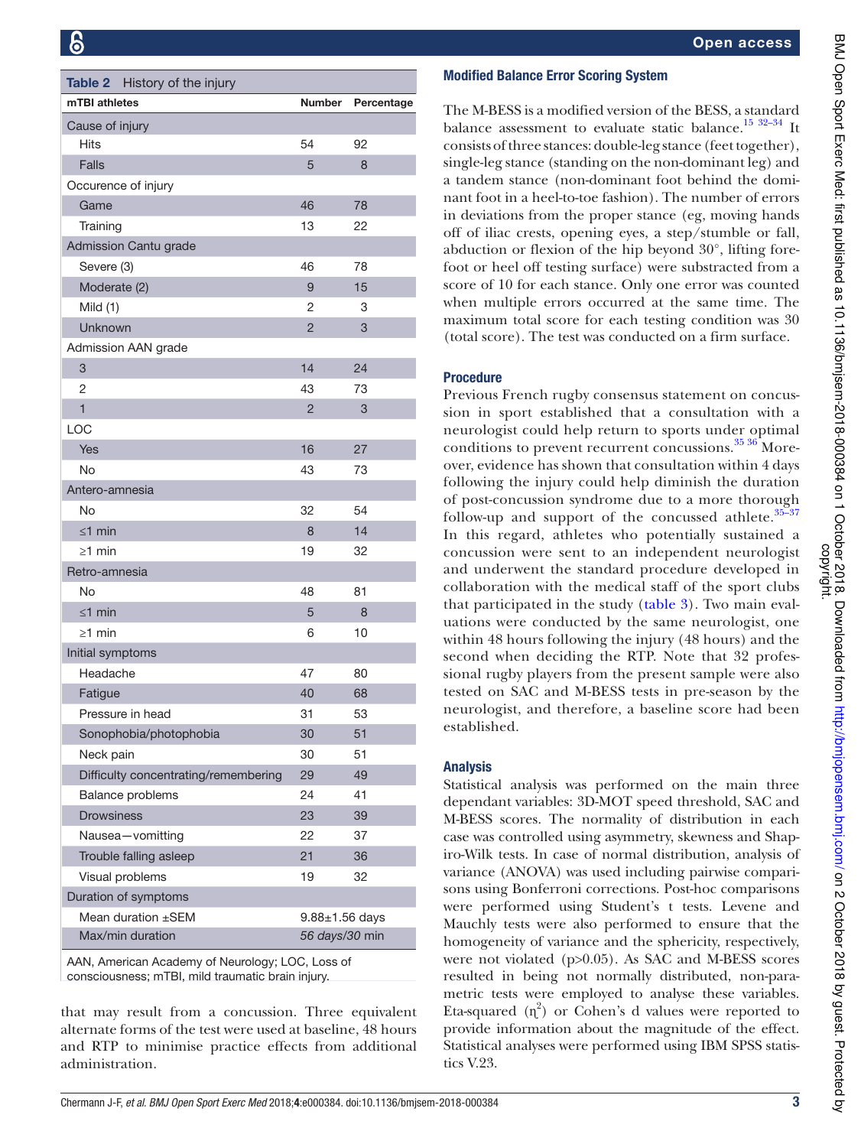| Table 2 History of the injury        |                      |            |
|--------------------------------------|----------------------|------------|
| mTBI athletes                        | Number               | Percentage |
| Cause of injury                      |                      |            |
| Hits                                 | 54                   | 92         |
| Falls                                | 5                    | 8          |
| Occurence of injury                  |                      |            |
| Game                                 | 46                   | 78         |
| Training                             | 13                   | 22         |
| Admission Cantu grade                |                      |            |
| Severe (3)                           | 46                   | 78         |
| Moderate (2)                         | 9                    | 15         |
| Mild $(1)$                           | 2                    | 3          |
| Unknown                              | $\overline{2}$       | 3          |
| Admission AAN grade                  |                      |            |
| 3                                    | 14                   | 24         |
| 2                                    | 43                   | 73         |
| $\mathbf{1}$                         | $\overline{2}$       | 3          |
| LOC                                  |                      |            |
| Yes                                  | 16                   | 27         |
| No                                   | 43                   | 73         |
| Antero-amnesia                       |                      |            |
| No                                   | 32                   | 54         |
| $\leq$ 1 min                         | 8                    | 14         |
| $\geq$ 1 min                         | 19                   | 32         |
| Retro-amnesia                        |                      |            |
| No                                   | 48                   | 81         |
| $\leq$ 1 min                         | 5                    | 8          |
| $\geq$ 1 min                         | 6                    | 10         |
| Initial symptoms                     |                      |            |
| Headache                             | 47                   | 80         |
| Fatigue                              | 40                   | 68         |
| Pressure in head                     | 31                   | 53         |
| Sonophobia/photophobia               | 30                   | 51         |
| Neck pain                            | 30                   | 51         |
| Difficulty concentrating/remembering | 29                   | 49         |
| Balance problems                     | 24                   | 41         |
| <b>Drowsiness</b>                    | 23                   | 39         |
| Nausea-vomitting                     | 22                   | 37         |
| Trouble falling asleep               | 21                   | 36         |
| Visual problems                      | 19                   | 32         |
| Duration of symptoms                 |                      |            |
| Mean duration ±SEM                   | $9.88 \pm 1.56$ days |            |
| Max/min duration                     | 56 days/30 min       |            |

AAN, American Academy of Neurology; LOC, Loss of consciousness; mTBI, mild traumatic brain injury.

that may result from a concussion. Three equivalent alternate forms of the test were used at baseline, 48 hours and RTP to minimise practice effects from additional administration.

# **Modified Balance Error Scoring System**

The M-BESS is a modified version of the BESS, a standard balance assessment to evaluate static balance.<sup>15 32-34</sup> It consists of three stances: double-leg stance (feet together), single-leg stance (standing on the non-dominant leg) and a tandem stance (non-dominant foot behind the dominant foot in a heel-to-toe fashion). The number of errors in deviations from the proper stance (eg, moving hands off of iliac crests, opening eyes, a step/stumble or fall, abduction or flexion of the hip beyond 30°, lifting forefoot or heel off testing surface) were substracted from a score of 10 for each stance. Only one error was counted when multiple errors occurred at the same time. The maximum total score for each testing condition was 30 (total score). The test was conducted on a firm surface.

# Procedure

Previous French rugby consensus statement on concussion in sport established that a consultation with a neurologist could help return to sports under optimal conditions to prevent recurrent concussions.<sup>35</sup> 36</sup> Moreover, evidence has shown that consultation within 4 days following the injury could help diminish the duration of post-concussion syndrome due to a more thorough follow-up and support of the concussed athlete. $35$ -In this regard, athletes who potentially sustained a concussion were sent to an independent neurologist and underwent the standard procedure developed in collaboration with the medical staff of the sport clubs that participated in the study (table 3). Two main evaluations were conducted by the same neurologist, one within 48 hours following the injury (48 hours) and the second when deciding the RTP. Note that 32 professional rugby players from the present sample were also tested on SAC and M-BESS tests in pre-season by the neurologist, and therefore, a baseline score had been established.

# Analysis

Statistical analysis was performed on the main three dependant variables: 3D-MOT speed threshold, SAC and M-BESS scores. The normality of distribution in each case was controlled using asymmetry, skewness and Shapiro-Wilk tests. In case of normal distribution, analysis of variance (ANOVA) was used including pairwise comparisons using Bonferroni corrections. Post-hoc comparisons were performed using Student's t tests. Levene and Mauchly tests were also performed to ensure that the homogeneity of variance and the sphericity, respectively, were not violated (p>0.05). As SAC and M-BESS scores resulted in being not normally distributed, non-parametric tests were employed to analyse these variables. Eta-squared  $(n^2)$  or Cohen's d values were reported to provide information about the magnitude of the effect. Statistical analyses were performed using IBM SPSS statistics V.23.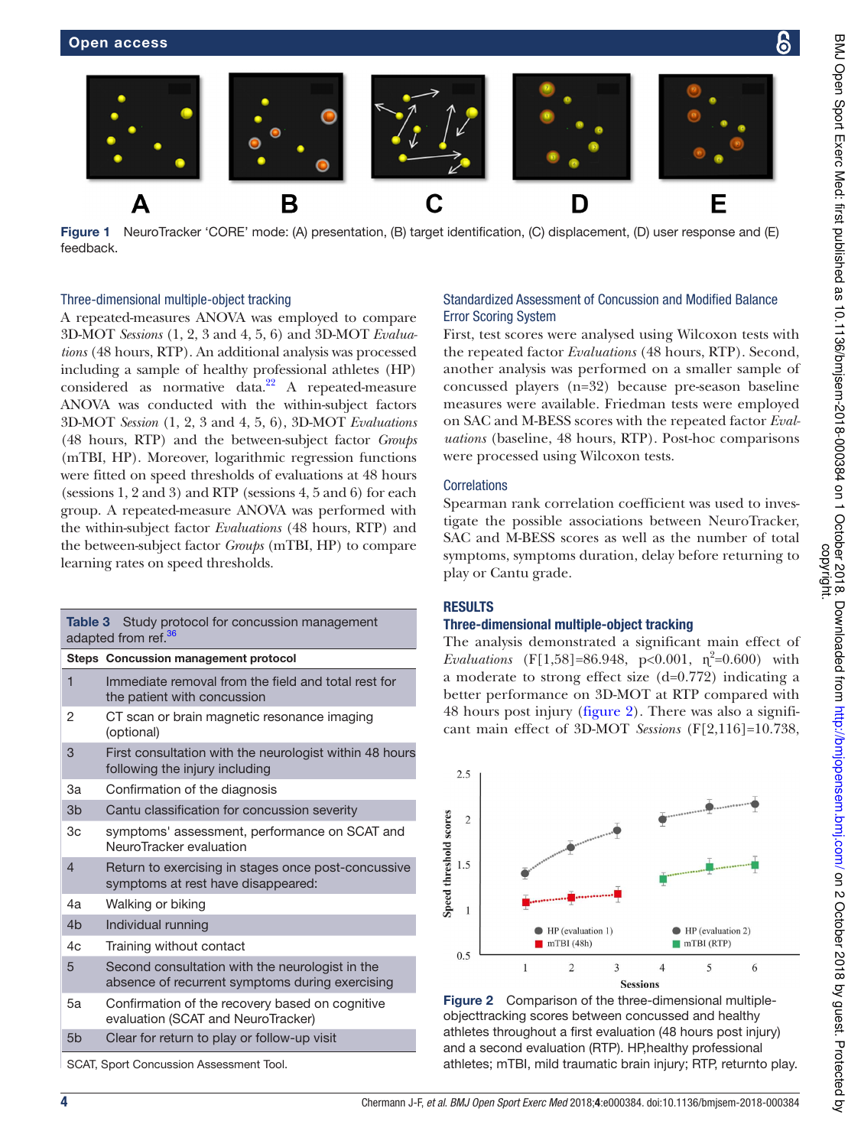Α

feedback.



3D-MOT *Sessions* (1, 2, 3 and 4, 5, 6) and 3D-MOT *Evaluations* (48 hours, RTP). An additional analysis was processed including a sample of healthy professional athletes (HP) considered as normative data. $^{22}$  A repeated-measure ANOVA was conducted with the within-subject factors 3D-MOT *Session* (1, 2, 3 and 4, 5, 6), 3D-MOT *Evaluations* (48 hours, RTP) and the between-subject factor *Groups* (mTBI, HP). Moreover, logarithmic regression functions were fitted on speed thresholds of evaluations at 48 hours (sessions 1, 2 and 3) and RTP (sessions 4, 5 and 6) for each group. A repeated-measure ANOVA was performed with the within-subject factor *Evaluations* (48 hours, RTP) and the between-subject factor *Groups* (mTBI, HP) to compare learning rates on speed thresholds.

| Table 3<br>Study protocol for concussion management<br>adapted from ref. <sup>36</sup> |                                                                                                    |  |  |  |  |  |
|----------------------------------------------------------------------------------------|----------------------------------------------------------------------------------------------------|--|--|--|--|--|
|                                                                                        | Steps Concussion management protocol                                                               |  |  |  |  |  |
| 1                                                                                      | Immediate removal from the field and total rest for<br>the patient with concussion                 |  |  |  |  |  |
| 2                                                                                      | CT scan or brain magnetic resonance imaging<br>(optional)                                          |  |  |  |  |  |
| 3                                                                                      | First consultation with the neurologist within 48 hours<br>following the injury including          |  |  |  |  |  |
| За                                                                                     | Confirmation of the diagnosis                                                                      |  |  |  |  |  |
| 3 <sub>b</sub>                                                                         | Cantu classification for concussion severity                                                       |  |  |  |  |  |
| 3c                                                                                     | symptoms' assessment, performance on SCAT and<br>NeuroTracker evaluation                           |  |  |  |  |  |
| $\overline{4}$                                                                         | Return to exercising in stages once post-concussive<br>symptoms at rest have disappeared:          |  |  |  |  |  |
| 4a                                                                                     | Walking or biking                                                                                  |  |  |  |  |  |
| 4 <sub>b</sub>                                                                         | Individual running                                                                                 |  |  |  |  |  |
| 4c                                                                                     | Training without contact                                                                           |  |  |  |  |  |
| 5                                                                                      | Second consultation with the neurologist in the<br>absence of recurrent symptoms during exercising |  |  |  |  |  |
| 5а                                                                                     | Confirmation of the recovery based on cognitive<br>evaluation (SCAT and NeuroTracker)              |  |  |  |  |  |
| 5 <sub>b</sub>                                                                         | Clear for return to play or follow-up visit                                                        |  |  |  |  |  |

SCAT, Sport Concussion Assessment Tool.

# Standardized Assessment of Concussion and Modified Balance

First, test scores were analysed using Wilcoxon tests with the repeated factor *Evaluations* (48 hours, RTP). Second, another analysis was performed on a smaller sample of concussed players (n=32) because pre-season baseline measures were available. Friedman tests were employed on SAC and M-BESS scores with the repeated factor *Evaluations* (baseline, 48 hours, RTP). Post-hoc comparisons were processed using Wilcoxon tests.

### **Correlations**

Spearman rank correlation coefficient was used to investigate the possible associations between NeuroTracker, SAC and M-BESS scores as well as the number of total symptoms, symptoms duration, delay before returning to play or Cantu grade.

## **RESULTS**

## Three-dimensional multiple-object tracking

The analysis demonstrated a significant main effect of *Evaluations* (F[1,58]=86.948, p<0.001,  $\eta^2$ =0.600) with a moderate to strong effect size (d=0.772) indicating a better performance on 3D-MOT at RTP compared with 48 hours post injury (figure 2). There was also a significant main effect of 3D-MOT *Sessions* (F[2,116]=10.738,



Figure 2 Comparison of the three-dimensional multipleobjecttracking scores between concussed and healthy athletes throughout a first evaluation (48 hours post injury) and a second evaluation (RTP). HP,healthy professional athletes; mTBI, mild traumatic brain injury; RTP, returnto play.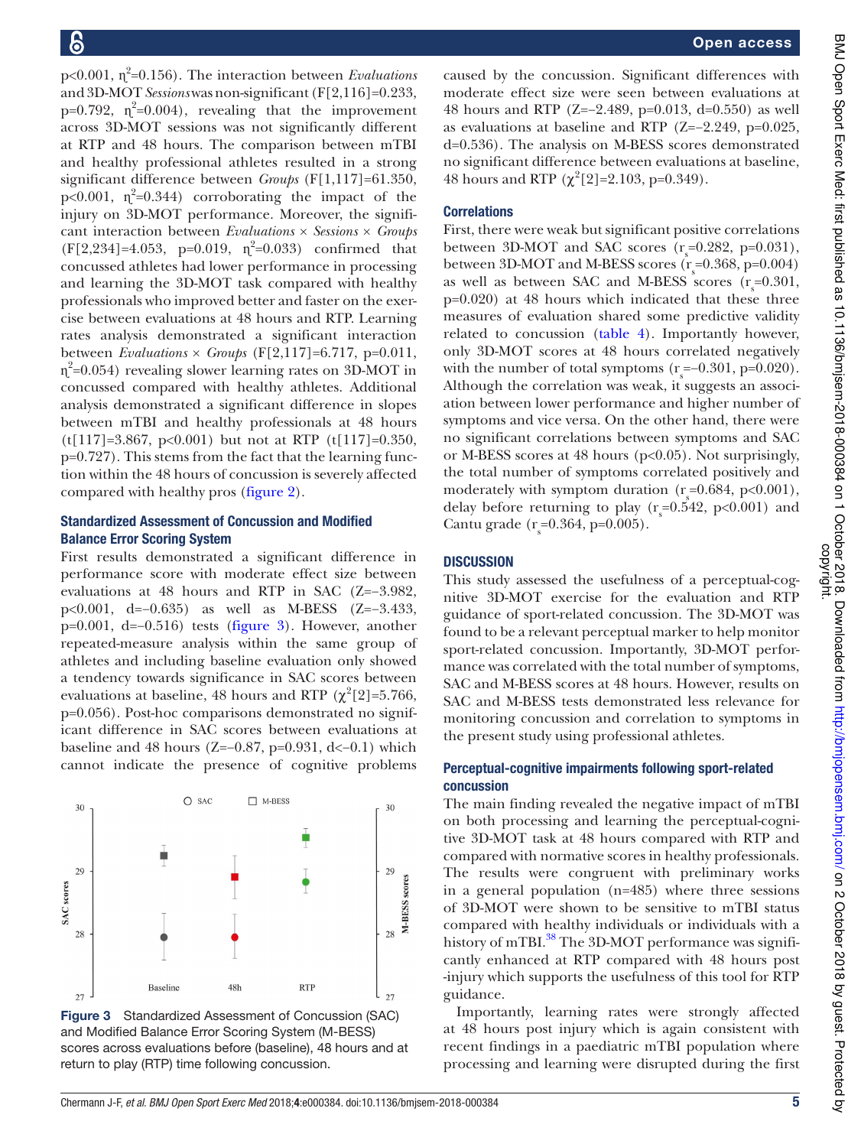p<0.001, ɳ 2 =0.156). The interaction between *Evaluations* and 3D-MOT *Sessions* was non-significant (F[2,116]=0.233, p=0.792,  $\eta^2$ =0.004), revealing that the improvement across 3D-MOT sessions was not significantly different at RTP and 48 hours. The comparison between mTBI and healthy professional athletes resulted in a strong significant difference between *Groups* (F[1,117]=61.350, p<0.001,  $\eta^2$ =0.344) corroborating the impact of the injury on 3D-MOT performance. Moreover, the significant interaction between *Evaluations* × *Sessions* × *Groups*  $(F[2,234]=4.053, p=0.019, \eta^2=0.033)$  confirmed that concussed athletes had lower performance in processing and learning the 3D-MOT task compared with healthy professionals who improved better and faster on the exercise between evaluations at 48 hours and RTP. Learning rates analysis demonstrated a significant interaction between *Evaluations* × *Groups* (F[2,117]=6.717, p=0.011, ɳ 2 =0.054) revealing slower learning rates on 3D-MOT in concussed compared with healthy athletes. Additional analysis demonstrated a significant difference in slopes between mTBI and healthy professionals at 48 hours (t[117]=3.867, p<0.001) but not at RTP (t[117]=0.350, p=0.727). This stems from the fact that the learning function within the 48 hours of concussion is severely affected compared with healthy pros (figure 2).

## standardized Assessment of Concussion and Modified **Balance Error Scoring System**

First results demonstrated a significant difference in performance score with moderate effect size between evaluations at 48 hours and RTP in SAC (Z=−3.982, p<0.001, d=−0.635) as well as M-BESS (Z=−3.433, p=0.001, d=−0.516) tests (figure 3). However, another repeated-measure analysis within the same group of athletes and including baseline evaluation only showed a tendency towards significance in SAC scores between evaluations at baseline, 48 hours and RTP ( $\chi^2[2]$ =5.766, p=0.056). Post-hoc comparisons demonstrated no significant difference in SAC scores between evaluations at baseline and 48 hours (Z=−0.87, p=0.931, d<−0.1) which cannot indicate the presence of cognitive problems



Figure 3 Standardized Assessment of Concussion (SAC) and Modified Balance Error Scoring System (M-BESS) scores across evaluations before (baseline), 48 hours and at return to play (RTP) time following concussion.

caused by the concussion. Significant differences with moderate effect size were seen between evaluations at 48 hours and RTP (Z=−2.489, p=0.013, d=0.550) as well as evaluations at baseline and RTP (Z=−2.249, p=0.025, d=0.536). The analysis on M-BESS scores demonstrated no significant difference between evaluations at baseline, 48 hours and RTP  $(\chi^2[2] = 2.103, p=0.349)$ .

### **Correlations**

First, there were weak but significant positive correlations between 3D-MOT and SAC scores  $(r_s=0.282, p=0.031)$ , between 3D-MOT and M-BESS scores  $(r_s = 0.368, p = 0.004)$ as well as between SAC and M-BESS scores  $(r_s=0.301, ...)$ p=0.020) at 48 hours which indicated that these three measures of evaluation shared some predictive validity related to concussion (table 4). Importantly however, only 3D-MOT scores at 48 hours correlated negatively with the number of total symptoms  $(r_s = -0.301, p = 0.020)$ . Although the correlation was weak, it suggests an association between lower performance and higher number of symptoms and vice versa. On the other hand, there were no significant correlations between symptoms and SAC or M-BESS scores at 48 hours (p<0.05). Not surprisingly, the total number of symptoms correlated positively and moderately with symptom duration  $(r<sub>s</sub>=0.684, p<0.001)$ , delay before returning to play  $(r_s = 0.542, p < 0.001)$  and Cantu grade  $(r_s=0.364, p=0.005)$ .

### **DISCUSSION**

This study assessed the usefulness of a perceptual-cognitive 3D-MOT exercise for the evaluation and RTP guidance of sport-related concussion. The 3D-MOT was found to be a relevant perceptual marker to help monitor sport-related concussion. Importantly, 3D-MOT performance was correlated with the total number of symptoms, SAC and M-BESS scores at 48 hours. However, results on SAC and M-BESS tests demonstrated less relevance for monitoring concussion and correlation to symptoms in the present study using professional athletes.

## Perceptual-cognitive impairments following sport-related concussion

The main finding revealed the negative impact of mTBI on both processing and learning the perceptual-cognitive 3D-MOT task at 48 hours compared with RTP and compared with normative scores in healthy professionals. The results were congruent with preliminary works in a general population (n=485) where three sessions of 3D-MOT were shown to be sensitive to mTBI status compared with healthy individuals or individuals with a history of mTBI.<sup>38</sup> The 3D-MOT performance was significantly enhanced at RTP compared with 48 hours post -injury which supports the usefulness of this tool for RTP guidance.

Importantly, learning rates were strongly affected at 48 hours post injury which is again consistent with recent findings in a paediatric mTBI population where processing and learning were disrupted during the first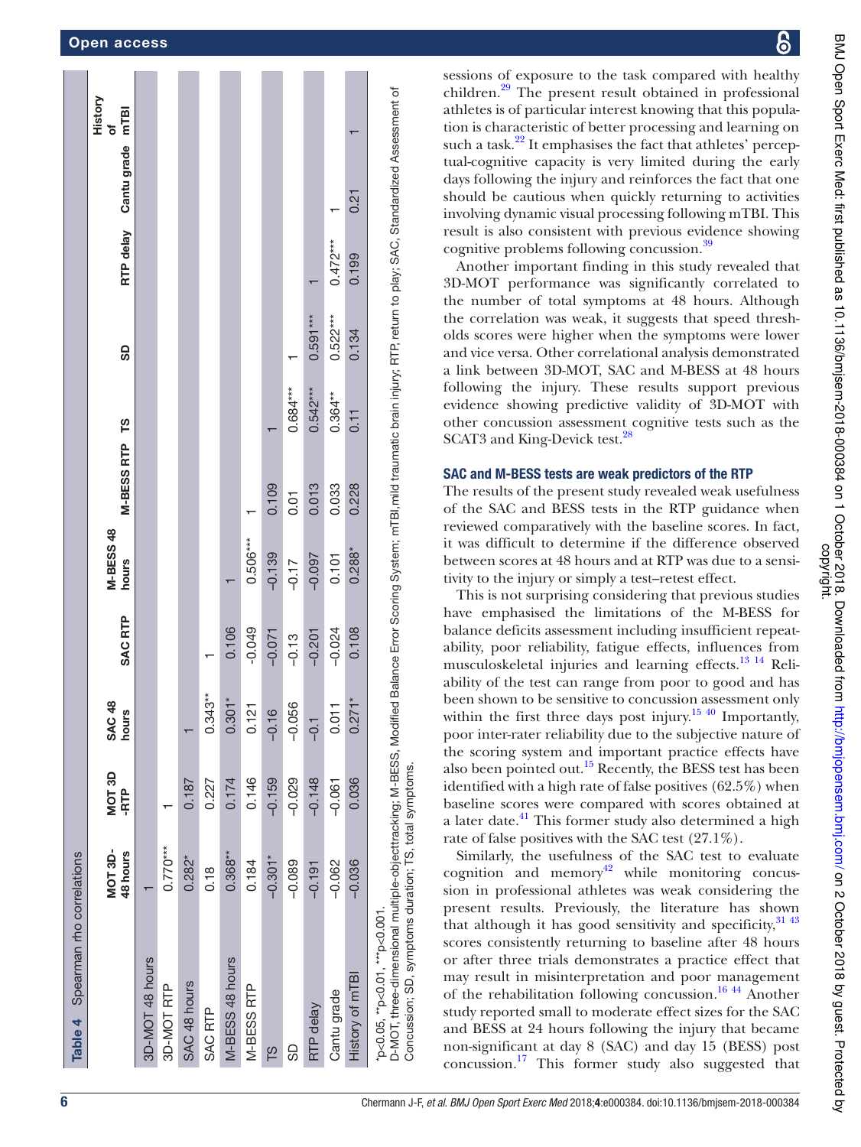|                                   | History<br>mTBI<br>Ⴆ          |                 |            |              |           |                 |                    |             |               |            |             |                 |                                                                                                                                                                                                                                                   |
|-----------------------------------|-------------------------------|-----------------|------------|--------------|-----------|-----------------|--------------------|-------------|---------------|------------|-------------|-----------------|---------------------------------------------------------------------------------------------------------------------------------------------------------------------------------------------------------------------------------------------------|
|                                   | Cantu grade                   |                 |            |              |           |                 |                    |             |               |            |             |                 |                                                                                                                                                                                                                                                   |
|                                   |                               |                 |            |              |           |                 |                    |             |               |            |             | 0.21            |                                                                                                                                                                                                                                                   |
|                                   | RTP delay                     |                 |            |              |           |                 |                    |             |               |            | $0.472***$  | 0.199           |                                                                                                                                                                                                                                                   |
|                                   | 9                             |                 |            |              |           |                 |                    |             |               | $0.591***$ | $0.522***$  | 0.134           |                                                                                                                                                                                                                                                   |
|                                   |                               |                 |            |              |           |                 |                    |             | $0.684***$    | $0.542***$ | $0.364***$  |                 |                                                                                                                                                                                                                                                   |
|                                   |                               |                 |            |              |           |                 |                    |             |               |            |             | 0.11            |                                                                                                                                                                                                                                                   |
|                                   | M-BESS RTP TS                 |                 |            |              |           |                 |                    | 0.109       | 0.01          | 0.013      | 0.033       | 0.228           |                                                                                                                                                                                                                                                   |
|                                   | M-BESS 48<br>hours            |                 |            |              |           |                 | $0.506***$         | $-0.139$    | $-0.17$       | $-0.097$   | 0.101       | $0.288*$        |                                                                                                                                                                                                                                                   |
|                                   |                               |                 |            |              |           |                 |                    |             |               |            |             |                 |                                                                                                                                                                                                                                                   |
|                                   | <b>SAC RTP</b>                |                 |            |              |           | 0.106           | $-0.049$           | $-0.071$    | $-0.13$       | $-0.201$   | $-0.024$    | 0.108           |                                                                                                                                                                                                                                                   |
|                                   | $\frac{8}{1}$<br>hours<br>SAC |                 |            |              | $0.343**$ | $0.301*$        | $\frac{1}{2}$<br>5 | ဖ<br>$-0.1$ | 056<br>o<br>? | $-0.1$     | 0.011       | $0.271*$        |                                                                                                                                                                                                                                                   |
|                                   | MOT 3D<br>-RTP                |                 |            | 0.187        | 0.227     | 0.174           | 0.146              | $-0.159$    | $-0.029$      | $-0.148$   | $-0.061$    | 0.036           | D-MOT, three-dimensional multiple-objecttracking; M-BESS, Modified Balance Error Scoring System; mTBI,mild traumatic brain injury; RTP; return to play; SAC, Standardized Assessment of<br>Concussion; SD, symptoms duration; TS, total symptoms. |
|                                   | <b>MOT 3D-</b><br>48 hours    |                 | $0.770***$ | $0.282*$     |           | $0.368**$       | 0.184              |             |               |            |             |                 |                                                                                                                                                                                                                                                   |
|                                   |                               |                 |            |              | 0.18      |                 |                    | $-0.301*$   | $-0.089$      | $-0.191$   | $-0.062$    | $-0.036$        |                                                                                                                                                                                                                                                   |
| Table 4 Spearman rho correlations |                               |                 |            |              |           |                 |                    |             |               |            |             |                 | *p<0.05, **p<0.01, ***p<0.001.                                                                                                                                                                                                                    |
|                                   |                               | 3D-MOT 48 hours |            |              |           | M-BESS 48 hours |                    |             |               |            |             |                 |                                                                                                                                                                                                                                                   |
|                                   |                               |                 | 3D-MOT RTP | SAC 48 hours | SAC RTP   |                 | M-BESS<br>RTP      |             |               | RTP delay  | Cantu grade | History of mTBI |                                                                                                                                                                                                                                                   |
|                                   |                               |                 |            |              |           |                 |                    | SL          | සි            |            |             |                 |                                                                                                                                                                                                                                                   |

6

BMJ Open Sport Exerc Med: first published as 10.1136/bmjsem-2018-000384 on 1 October 2018. Downloaded from http://bmjopensem.bmj.com/ on 2 October 2018 by guest. Protected by<br>copyright. BMJ Open Sxerc Med: first published as 10.1136/bmjsem-2018-000384 on 1 October 2018. Downloaded from http://bmjopensem.bmj.com/ on 2 October 2018 by guest. Protected by

sessions of exposure to the task compared with healthy children.<sup>29</sup> The present result obtained in professional athletes is of particular interest knowing that this population is characteristic of better processing and learning on such a task.<sup>22</sup> It emphasises the fact that athletes' perceptual-cognitive capacity is very limited during the early days following the injury and reinforces the fact that one should be cautious when quickly returning to activities involving dynamic visual processing following mTBI. This result is also consistent with previous evidence showing cognitive problems following concussion.<sup>39</sup>

Another important finding in this study revealed that 3D-MOT performance was significantly correlated to the number of total symptoms at 48 hours. Although the correlation was weak, it suggests that speed thresholds scores were higher when the symptoms were lower and vice versa. Other correlational analysis demonstrated a link between 3D-MOT, SAC and M-BESS at 48 hours following the injury. These results support previous evidence showing predictive validity of 3D-MOT with other concussion assessment cognitive tests such as the SCAT3 and King-Devick test.<sup>28</sup>

### SAC and M-BESS tests are weak predictors of the RTP

The results of the present study revealed weak usefulness of the SAC and BESS tests in the RTP guidance when reviewed comparatively with the baseline scores. In fact, it was difficult to determine if the difference observed between scores at 48 hours and at RTP was due to a sensitivity to the injury or simply a test–retest effect.

This is not surprising considering that previous studies have emphasised the limitations of the M-BESS for balance deficits assessment including insufficient repeatability, poor reliability, fatigue effects, influences from musculoskeletal injuries and learning effects.13 14 Reliability of the test can range from poor to good and has been shown to be sensitive to concussion assessment only within the first three days post injury.<sup>15 40</sup> Importantly, poor inter-rater reliability due to the subjective nature of the scoring system and important practice effects have also been pointed out.<sup>15</sup> Recently, the BESS test has been identified with a high rate of false positives (62.5%) when baseline scores were compared with scores obtained at a later date.<sup>41</sup> This former study also determined a high rate of false positives with the SAC test (27.1%).

Similarly, the usefulness of the SAC test to evaluate  $cognition$  and memory<sup>42</sup> while monitoring concussion in professional athletes was weak considering the present results. Previously, the literature has shown that although it has good sensitivity and specificity,  $31\frac{43}{2}$ scores consistently returning to baseline after 48 hours or after three trials demonstrates a practice effect that may result in misinterpretation and poor management of the rehabilitation following concussion.16 44 Another study reported small to moderate effect sizes for the SAC and BESS at 24 hours following the injury that became non-significant at day 8 (SAC) and day 15 (BESS) post concussion.<sup>17</sup> This former study also suggested that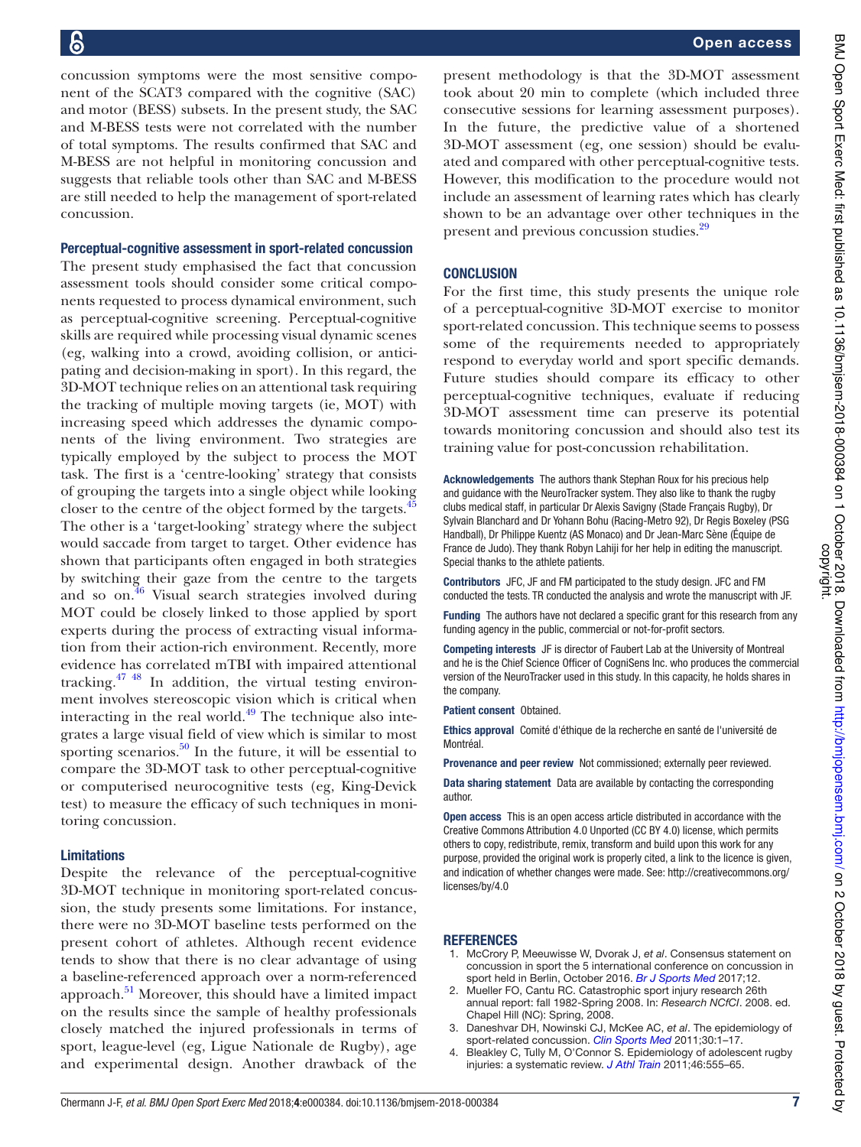concussion symptoms were the most sensitive component of the SCAT3 compared with the cognitive (SAC) and motor (BESS) subsets. In the present study, the SAC and M-BESS tests were not correlated with the number of total symptoms. The results confirmed that SAC and M-BESS are not helpful in monitoring concussion and suggests that reliable tools other than SAC and M-BESS are still needed to help the management of sport-related concussion.

### Perceptual-cognitive assessment in sport-related concussion

The present study emphasised the fact that concussion assessment tools should consider some critical components requested to process dynamical environment, such as perceptual-cognitive screening. Perceptual-cognitive skills are required while processing visual dynamic scenes (eg, walking into a crowd, avoiding collision, or anticipating and decision-making in sport). In this regard, the 3D-MOT technique relies on an attentional task requiring the tracking of multiple moving targets (ie, MOT) with increasing speed which addresses the dynamic components of the living environment. Two strategies are typically employed by the subject to process the MOT task. The first is a 'centre-looking' strategy that consists of grouping the targets into a single object while looking closer to the centre of the object formed by the targets.<sup>45</sup> The other is a 'target-looking' strategy where the subject would saccade from target to target. Other evidence has shown that participants often engaged in both strategies by switching their gaze from the centre to the targets and so on. $\frac{46}{10}$  Visual search strategies involved during MOT could be closely linked to those applied by sport experts during the process of extracting visual information from their action-rich environment. Recently, more evidence has correlated mTBI with impaired attentional tracking. $47 \frac{48}{10}$  In addition, the virtual testing environment involves stereoscopic vision which is critical when interacting in the real world. $49$  The technique also integrates a large visual field of view which is similar to most sporting scenarios. $50$  In the future, it will be essential to compare the 3D-MOT task to other perceptual-cognitive or computerised neurocognitive tests (eg, King-Devick test) to measure the efficacy of such techniques in monitoring concussion.

### **Limitations**

Despite the relevance of the perceptual-cognitive 3D-MOT technique in monitoring sport-related concussion, the study presents some limitations. For instance, there were no 3D-MOT baseline tests performed on the present cohort of athletes. Although recent evidence tends to show that there is no clear advantage of using a baseline-referenced approach over a norm-referenced approach. $51$  Moreover, this should have a limited impact on the results since the sample of healthy professionals closely matched the injured professionals in terms of sport, league-level (eg, Ligue Nationale de Rugby), age and experimental design. Another drawback of the

present methodology is that the 3D-MOT assessment took about 20 min to complete (which included three consecutive sessions for learning assessment purposes). In the future, the predictive value of a shortened 3D-MOT assessment (eg, one session) should be evaluated and compared with other perceptual-cognitive tests. However, this modification to the procedure would not include an assessment of learning rates which has clearly shown to be an advantage over other techniques in the present and previous concussion studies.<sup>29</sup>

### **CONCLUSION**

For the first time, this study presents the unique role of a perceptual-cognitive 3D-MOT exercise to monitor sport-related concussion. This technique seems to possess some of the requirements needed to appropriately respond to everyday world and sport specific demands. Future studies should compare its efficacy to other perceptual-cognitive techniques, evaluate if reducing 3D-MOT assessment time can preserve its potential towards monitoring concussion and should also test its training value for post-concussion rehabilitation.

Acknowledgements The authors thank Stephan Roux for his precious help and guidance with the NeuroTracker system. They also like to thank the rugby clubs medical staff, in particular Dr Alexis Savigny (Stade Français Rugby), Dr Sylvain Blanchard and Dr Yohann Bohu (Racing-Metro 92), Dr Regis Boxeley (PSG Handball), Dr Philippe Kuentz (AS Monaco) and Dr Jean-Marc Sène (Équipe de France de Judo). They thank Robyn Lahiji for her help in editing the manuscript. Special thanks to the athlete patients.

Contributors JFC, JF and FM participated to the study design. JFC and FM conducted the tests. TR conducted the analysis and wrote the manuscript with JF.

Funding The authors have not declared a specific grant for this research from any funding agency in the public, commercial or not-for-profit sectors.

Competing interests JF is director of Faubert Lab at the University of Montreal and he is the Chief Science Officer of CogniSens Inc. who produces the commercial version of the NeuroTracker used in this study. In this capacity, he holds shares in the company.

Patient consent Obtained.

Ethics approval Comité d'éthique de la recherche en santé de l'université de Montréal.

Provenance and peer review Not commissioned; externally peer reviewed.

Data sharing statement Data are available by contacting the corresponding author.

Open access This is an open access article distributed in accordance with the Creative Commons Attribution 4.0 Unported (CC BY 4.0) license, which permits others to copy, redistribute, remix, transform and build upon this work for any purpose, provided the original work is properly cited, a link to the licence is given, and indication of whether changes were made. See: http://creativecommons.org/ licenses/by/4.0

### **REFERENCES**

- 1. McCrory P, Meeuwisse W, Dvorak J, et al. Consensus statement on concussion in sport the 5 international conference on concussion in sport held in Berlin, October 2016. Br J Sports Med 2017;12.
- 2. Mueller FO, Cantu RC. Catastrophic sport injury research 26th annual report: fall 1982-Spring 2008. In: Research NCfCI. 2008. ed. Chapel Hill (NC): Spring, 2008.
- 3. Daneshvar DH, Nowinski CJ, McKee AC, et al. The epidemiology of sport-related concussion. Clin Sports Med 2011;30:1-17.
- 4. Bleakley C, Tully M, O'Connor S. Epidemiology of adolescent rugby injuries: a systematic review. J Athl Train 2011;46:555-65.